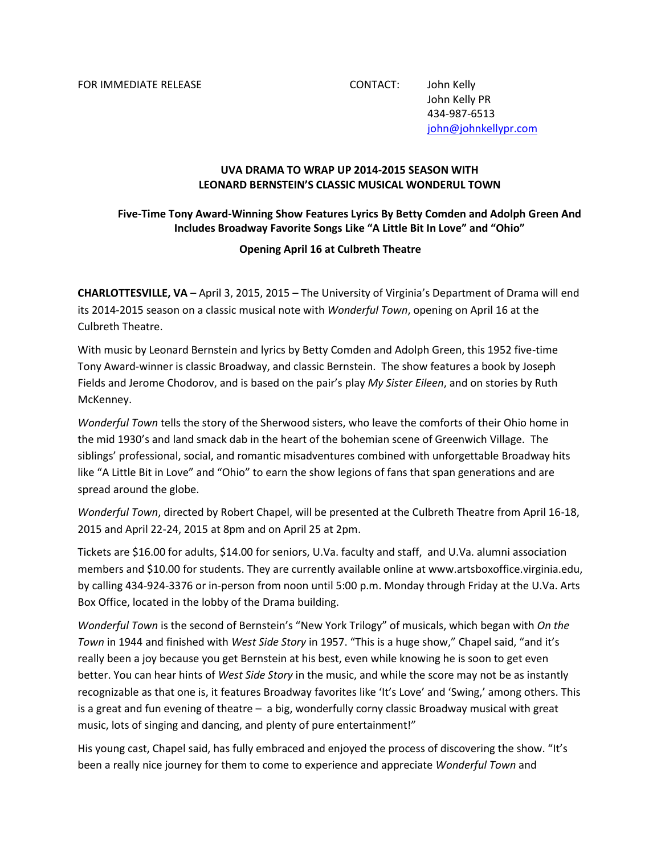FOR IMMEDIATE RELEASE CONTACT: John Kelly

John Kelly PR 434-987-6513 [john@johnkellypr.com](mailto:john@johnkellypr.com)

## **UVA DRAMA TO WRAP UP 2014-2015 SEASON WITH LEONARD BERNSTEIN'S CLASSIC MUSICAL WONDERUL TOWN**

## **Five-Time Tony Award-Winning Show Features Lyrics By Betty Comden and Adolph Green And Includes Broadway Favorite Songs Like "A Little Bit In Love" and "Ohio"**

## **Opening April 16 at Culbreth Theatre**

**CHARLOTTESVILLE, VA** – April 3, 2015, 2015 – The University of Virginia's Department of Drama will end its 2014-2015 season on a classic musical note with *Wonderful Town*, opening on April 16 at the Culbreth Theatre.

With music by Leonard Bernstein and lyrics by Betty Comden and Adolph Green, this 1952 five-time Tony Award-winner is classic Broadway, and classic Bernstein. The show features a book by Joseph Fields and Jerome Chodorov, and is based on the pair's play *My Sister Eileen*, and on stories by Ruth McKenney.

*Wonderful Town* tells the story of the Sherwood sisters, who leave the comforts of their Ohio home in the mid 1930's and land smack dab in the heart of the bohemian scene of Greenwich Village. The siblings' professional, social, and romantic misadventures combined with unforgettable Broadway hits like "A Little Bit in Love" and "Ohio" to earn the show legions of fans that span generations and are spread around the globe.

*Wonderful Town*, directed by Robert Chapel, will be presented at the Culbreth Theatre from April 16-18, 2015 and April 22-24, 2015 at 8pm and on April 25 at 2pm.

Tickets are \$16.00 for adults, \$14.00 for seniors, U.Va. faculty and staff, and U.Va. alumni association members and \$10.00 for students. They are currently available online at www.artsboxoffice.virginia.edu, by calling 434-924-3376 or in-person from noon until 5:00 p.m. Monday through Friday at the U.Va. Arts Box Office, located in the lobby of the Drama building.

*Wonderful Town* is the second of Bernstein's "New York Trilogy" of musicals, which began with *On the Town* in 1944 and finished with *West Side Story* in 1957. "This is a huge show," Chapel said, "and it's really been a joy because you get Bernstein at his best, even while knowing he is soon to get even better. You can hear hints of *West Side Story* in the music, and while the score may not be as instantly recognizable as that one is, it features Broadway favorites like 'It's Love' and 'Swing,' among others. This is a great and fun evening of theatre – a big, wonderfully corny classic Broadway musical with great music, lots of singing and dancing, and plenty of pure entertainment!"

His young cast, Chapel said, has fully embraced and enjoyed the process of discovering the show. "It's been a really nice journey for them to come to experience and appreciate *Wonderful Town* and